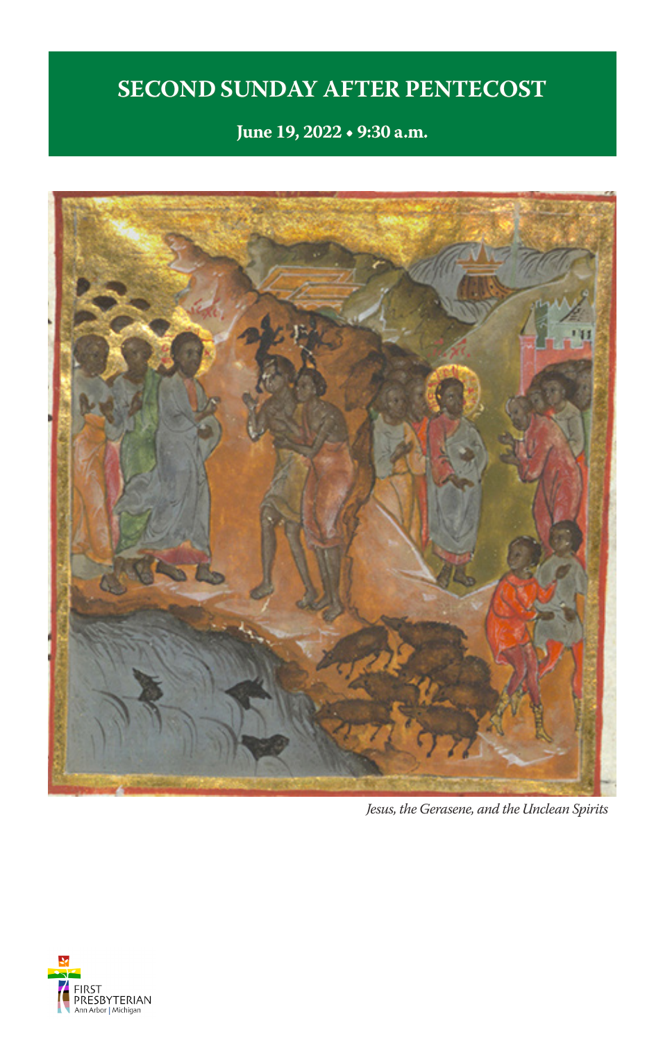# **SECOND SUNDAY AFTER PENTECOST**

**June 19, 2022 • 9:30 a.m.**



*Jesus, the Gerasene, and the Unclean Spirits* 

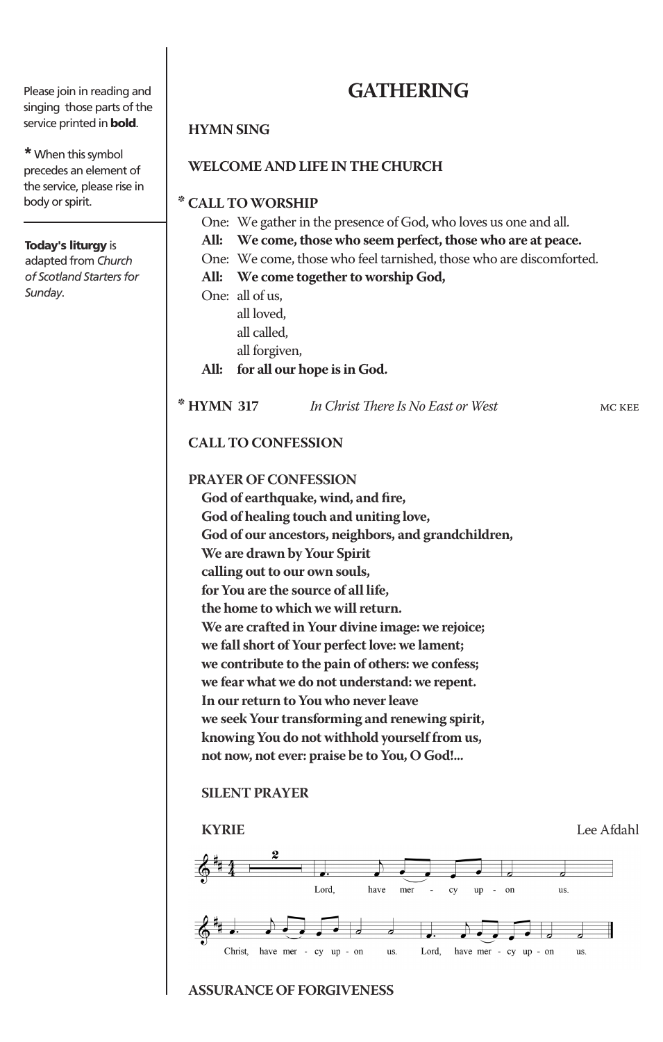Please join in reading and singing those parts of the service printed in **bold**.

**\***When this symbol precedes an element of the service, please rise in body or spirit.

### Today's liturgy is

adapted from *Church of Scotland Starters for Sunday*.

# **GATHERING**

### **HYMN SING**

### **WELCOME AND LIFE IN THE CHURCH**

**\* CALL TO WORSHIP** 

- One: We gather in the presence of God, who loves us one and all.
- **All: We come, those who seem perfect, those who are at peace.**
- One: We come, those who feel tarnished, those who are discomforted.

### **All: We come together to worship God,**

One: all of us, all loved,

- all called, all forgiven, **All: for all our hope is in God.**
- **\* HYMN 317** *In Christ There Is No East or West* mc kee

### **CALL TO CONFESSION**

**PRAYER OF CONFESSION**

**God of earthquake, wind, and fire, God of healing touch and uniting love, God of our ancestors, neighbors, and grandchildren, We are drawn by Your Spirit calling out to our own souls, for You are the source of all life, the home to which we will return. We are crafted in Your divine image: we rejoice; we fall short of Your perfect love: we lament; we contribute to the pain of others: we confess; we fear what we do not understand: we repent. In our return to You who never leave we seek Your transforming and renewing spirit, knowing You do not withhold yourself from us, not now, not ever: praise be to You, O God!...**

### **SILENT PRAYER**



### **ASSURANCE OF FORGIVENESS**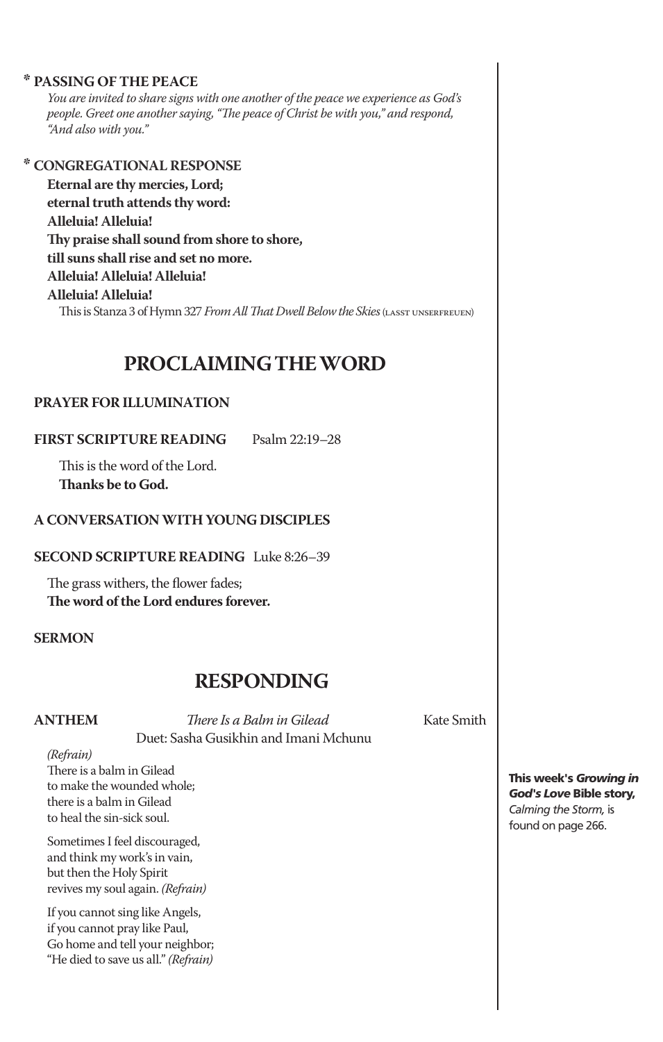### **\* PASSING OF THE PEACE**

*You are invited to share signs with one another of the peace we experience as God's people. Greet one another saying, "The peace of Christ be with you," and respond, "And also with you."*

### **\* CONGREGATIONAL RESPONSE**

**Eternal are thy mercies, Lord; eternal truth attends thy word: Alleluia! Alleluia! Thy praise shall sound from shore to shore, till suns shall rise and set no more. Alleluia! Alleluia! Alleluia! Alleluia! Alleluia!** This is Stanza 3 of Hymn 327 *From All That Dwell Below the Skies* (lasst unserfreuen)

# **PROCLAIMING THE WORD**

### **PRAYER FOR ILLUMINATION**

**FIRST SCRIPTURE READING** Psalm 22:19–28

This is the word of the Lord. **Thanks be to God.** 

### **A CONVERSATION WITH YOUNG DISCIPLES**

**SECOND SCRIPTURE READING** Luke 8:26–39

The grass withers, the flower fades; **The word of the Lord endures forever.**

### **SERMON**

# **RESPONDING**<br> *Phere Is a Balm in Gilead* Kate Smith

**ANTHEM** *There Is a Balm in Gilead* Duet: Sasha Gusikhin and Imani Mchunu

*(Refrain)*

There is a balm in Gilead to make the wounded whole; there is a balm in Gilead to heal the sin-sick soul.

Sometimes I feel discouraged, and think my work's in vain, but then the Holy Spirit revives my soul again. *(Refrain)*

If you cannot sing like Angels, if you cannot pray like Paul, Go home and tell your neighbor; "He died to save us all." *(Refrain)*

This week's *Growing in God's Love* Bible story, *Calming the Storm,* is found on page 266.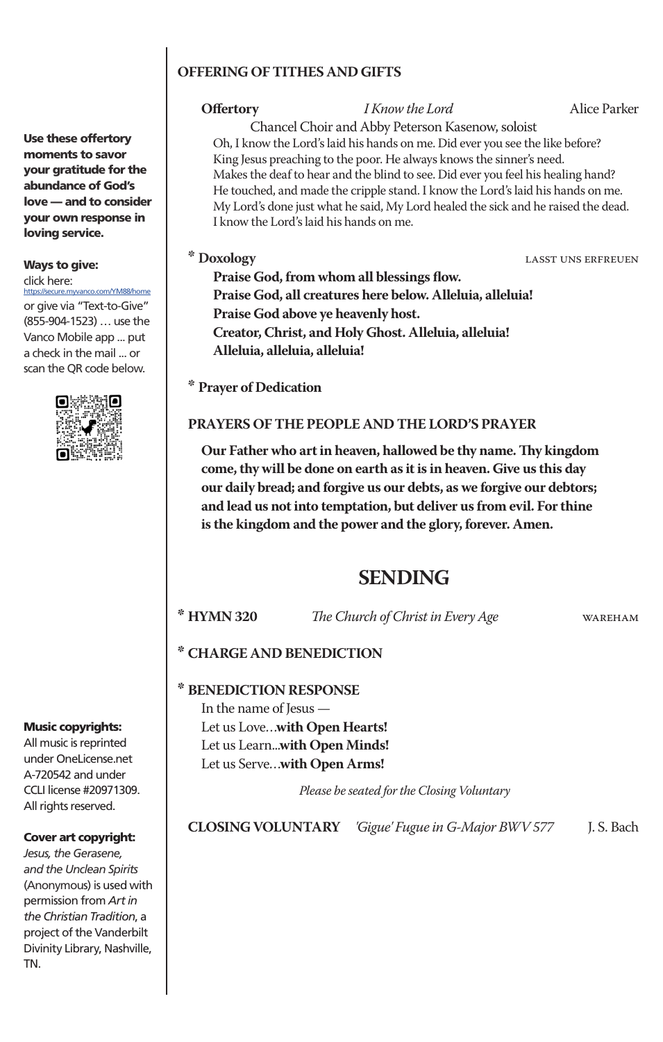### **OFFERING OF TITHES AND GIFTS**

**Offertory** *I Know the Lord* Alice Parker

Chancel Choir and Abby Peterson Kasenow, soloist Oh, I know the Lord's laid his hands on me. Did ever you see the like before? King Jesus preaching to the poor. He always knows the sinner's need. Makes the deaf to hear and the blind to see. Did ever you feel his healing hand? He touched, and made the cripple stand. I know the Lord's laid his hands on me. My Lord's done just what he said, My Lord healed the sick and he raised the dead. I know the Lord's laid his hands on me.

**\* Doxology** lasst uns erfreuen

**Praise God, from whom all blessings flow. Praise God, all creatures here below. Alleluia, alleluia! Praise God above ye heavenly host. Creator, Christ, and Holy Ghost. Alleluia, alleluia! Alleluia, alleluia, alleluia!**

**\* Prayer of Dedication**

### **PRAYERS OF THE PEOPLE AND THE LORD'S PRAYER**

**Our Father who art in heaven, hallowed be thy name. Thy kingdom come, thy will be done on earth as it is in heaven. Give us this day our daily bread; and forgive us our debts, as we forgive our debtors; and lead us not into temptation, but deliver us from evil. For thine is the kingdom and the power and the glory, forever. Amen.**

# **SENDING**

**\* HYMN 320** *The Church of Christ in Every Age* wareham

### **\* CHARGE AND BENEDICTION**

**\* BENEDICTION RESPONSE**

In the name of Jesus — Let us Love…**with Open Hearts!** Let us Learn...**with Open Minds!** Let us Serve…**with Open Arms!**

 *Please be seated for the Closing Voluntary*

**CLOSING VOLUNTARY** *'Gigue' Fugue in G-Major BWV 577* J. S. Bach

Use these offertory moments to savor your gratitude for the abundance of God's love — and to consider your own response in loving service.

# Ways to give:

click here:

ecure.myvanco.com/YM88/home or give via "Text-to-Give" (855-904-1523) … use the Vanco Mobile app ... put a check in the mail ... or scan the QR code below.



### Music copyrights:

All music is reprinted under OneLicense.net A-720542 and under CCLI license #20971309. All rights reserved.

### Cover art copyright:

*Jesus, the Gerasene, and the Unclean Spirits*  (Anonymous) is used with permission from *Art in the Christian Tradition*, a project of the Vanderbilt Divinity Library, Nashville, TN.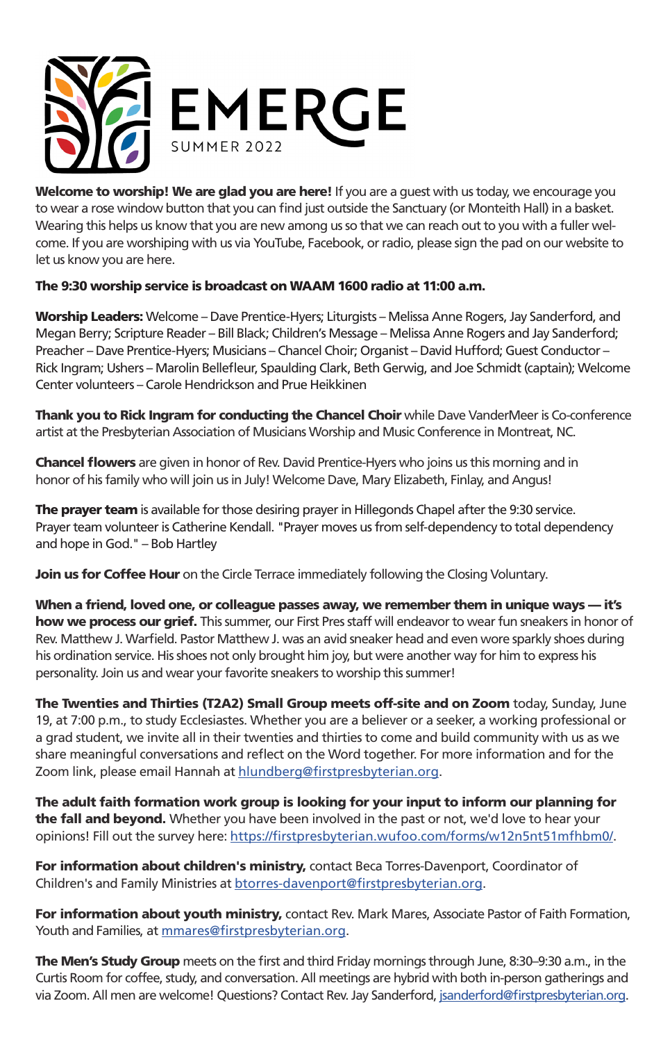

Welcome to worship! We are glad you are here! If you are a guest with us today, we encourage you to wear a rose window button that you can find just outside the Sanctuary (or Monteith Hall) in a basket. Wearing this helps us know that you are new among us so that we can reach out to you with a fuller welcome. If you are worshiping with us via YouTube, Facebook, or radio, please sign the pad on our website to let us know you are here.

### The 9:30 worship service is broadcast on WAAM 1600 radio at 11:00 a.m.

Worship Leaders: Welcome - Dave Prentice-Hyers; Liturgists - Melissa Anne Rogers, Jay Sanderford, and Megan Berry; Scripture Reader – Bill Black; Children's Message – Melissa Anne Rogers and Jay Sanderford; Preacher – Dave Prentice-Hyers; Musicians – Chancel Choir; Organist – David Hufford; Guest Conductor – Rick Ingram; Ushers – Marolin Bellefleur, Spaulding Clark, Beth Gerwig, and Joe Schmidt (captain); Welcome Center volunteers – Carole Hendrickson and Prue Heikkinen

**Thank you to Rick Ingram for conducting the Chancel Choir** while Dave VanderMeer is Co-conference artist at the Presbyterian Association of Musicians Worship and Music Conference in Montreat, NC.

**Chancel flowers** are given in honor of Rev. David Prentice-Hyers who joins us this morning and in honor of his family who will join us in July! Welcome Dave, Mary Elizabeth, Finlay, and Angus!

The prayer team is available for those desiring prayer in Hillegonds Chapel after the 9:30 service. Prayer team volunteer is Catherine Kendall. "Prayer moves us from self-dependency to total dependency and hope in God." – Bob Hartley

Join us for Coffee Hour on the Circle Terrace immediately following the Closing Voluntary.

When a friend, loved one, or colleague passes away, we remember them in unique ways — it's how we process our grief. This summer, our First Pres staff will endeavor to wear fun sneakers in honor of Rev. Matthew J. Warfield. Pastor Matthew J. was an avid sneaker head and even wore sparkly shoes during his ordination service. His shoes not only brought him joy, but were another way for him to express his personality. Join us and wear your favorite sneakers to worship this summer!

The Twenties and Thirties (T2A2) Small Group meets off-site and on Zoom today, Sunday, June 19, at 7:00 p.m., to study Ecclesiastes. Whether you are a believer or a seeker, a working professional or a grad student, we invite all in their twenties and thirties to come and build community with us as we share meaningful conversations and reflect on the Word together. For more information and for the Zoom link, please email Hannah at hlundberg@firstpresbyterian.org.

The adult faith formation work group is looking for your input to inform our planning for the fall and beyond. Whether you have been involved in the past or not, we'd love to hear your opinions! Fill out the survey here: https://firstpresbyterian.wufoo.com/forms/w12n5nt51mfhbm0/.

For information about children's ministry, contact Beca Torres-Davenport, Coordinator of Children's and Family Ministries at btorres-davenport@firstpresbyterian.org.

For information about youth ministry, contact Rev. Mark Mares, Associate Pastor of Faith Formation, Youth and Families, at mmares@firstpresbyterian.org.

The Men's Study Group meets on the first and third Friday mornings through June, 8:30–9:30 a.m., in the Curtis Room for coffee, study, and conversation. All meetings are hybrid with both in-person gatherings and via Zoom. All men are welcome! Questions? Contact Rev. Jay Sanderford, jsanderford@firstpresbyterian.org.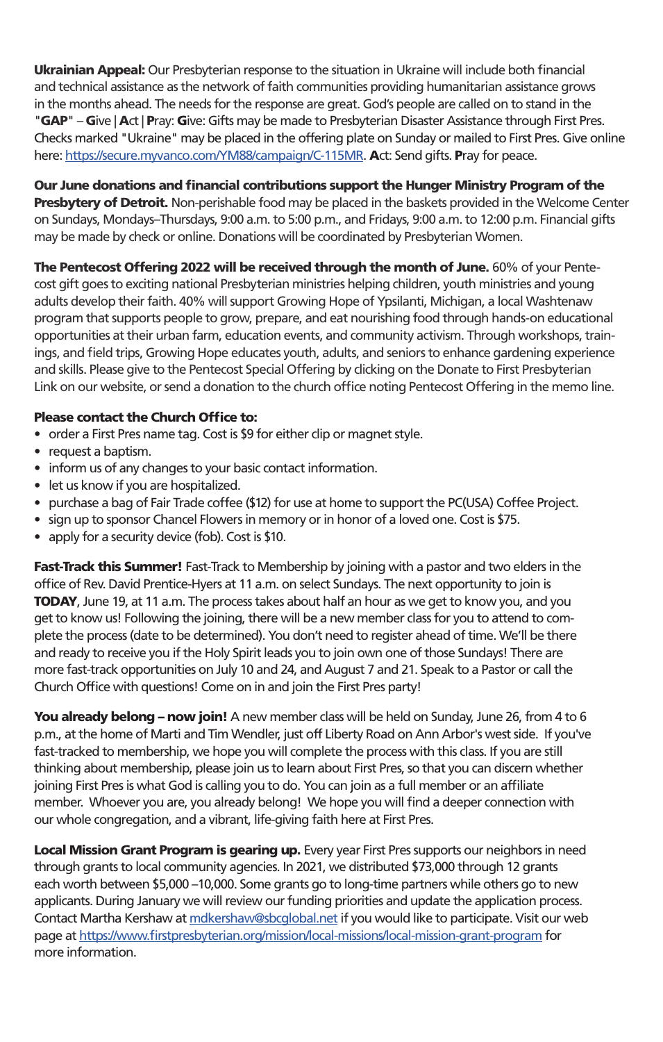Ukrainian Appeal: Our Presbyterian response to the situation in Ukraine will include both financial and technical assistance as the network of faith communities providing humanitarian assistance grows in the months ahead. The needs for the response are great. God's people are called on to stand in the "GAP" – Give | Act | Pray: Give: Gifts may be made to Presbyterian Disaster Assistance through First Pres. Checks marked "Ukraine" may be placed in the offering plate on Sunday or mailed to First Pres. Give online here: https://secure.myvanco.com/YM88/campaign/C-115MR. Act: Send gifts. Pray for peace.

Our June donations and financial contributions support the Hunger Ministry Program of the Presbytery of Detroit. Non-perishable food may be placed in the baskets provided in the Welcome Center on Sundays, Mondays–Thursdays, 9:00 a.m. to 5:00 p.m., and Fridays, 9:00 a.m. to 12:00 p.m. Financial gifts may be made by check or online. Donations will be coordinated by Presbyterian Women.

The Pentecost Offering 2022 will be received through the month of June. 60% of your Pentecost gift goes to exciting national Presbyterian ministries helping children, youth ministries and young adults develop their faith. 40% will support Growing Hope of Ypsilanti, Michigan, a local Washtenaw program that supports people to grow, prepare, and eat nourishing food through hands-on educational opportunities at their urban farm, education events, and community activism. Through workshops, trainings, and field trips, Growing Hope educates youth, adults, and seniors to enhance gardening experience and skills. Please give to the Pentecost Special Offering by clicking on the Donate to First Presbyterian Link on our website, or send a donation to the church office noting Pentecost Offering in the memo line.

### Please contact the Church Office to:

- order a First Pres name tag. Cost is \$9 for either clip or magnet style.
- request a baptism.
- inform us of any changes to your basic contact information.
- let us know if you are hospitalized.
- purchase a bag of Fair Trade coffee (\$12) for use at home to support the PC(USA) Coffee Project.
- sign up to sponsor Chancel Flowers in memory or in honor of a loved one. Cost is \$75.
- apply for a security device (fob). Cost is \$10.

Fast-Track this Summer! Fast-Track to Membership by joining with a pastor and two elders in the office of Rev. David Prentice-Hyers at 11 a.m. on select Sundays. The next opportunity to join is **TODAY**, June 19, at 11 a.m. The process takes about half an hour as we get to know you, and you get to know us! Following the joining, there will be a new member class for you to attend to complete the process (date to be determined). You don't need to register ahead of time. We'll be there and ready to receive you if the Holy Spirit leads you to join own one of those Sundays! There are more fast-track opportunities on July 10 and 24, and August 7 and 21. Speak to a Pastor or call the Church Office with questions! Come on in and join the First Pres party!

You already belong – now join! A new member class will be held on Sunday, June 26, from 4 to 6 p.m., at the home of Marti and Tim Wendler, just off Liberty Road on Ann Arbor's west side. If you've fast-tracked to membership, we hope you will complete the process with this class. If you are still thinking about membership, please join us to learn about First Pres, so that you can discern whether joining First Pres is what God is calling you to do. You can join as a full member or an affiliate member. Whoever you are, you already belong! We hope you will find a deeper connection with our whole congregation, and a vibrant, life-giving faith here at First Pres.

Local Mission Grant Program is gearing up. Every year First Pres supports our neighbors in need through grants to local community agencies. In 2021, we distributed \$73,000 through 12 grants each worth between \$5,000 –10,000. Some grants go to long-time partners while others go to new applicants. During January we will review our funding priorities and update the application process. Contact Martha Kershaw at mdkershaw@sbcglobal.net if you would like to participate. Visit our web page at https://www.firstpresbyterian.org/mission/local-missions/local-mission-grant-program for more information.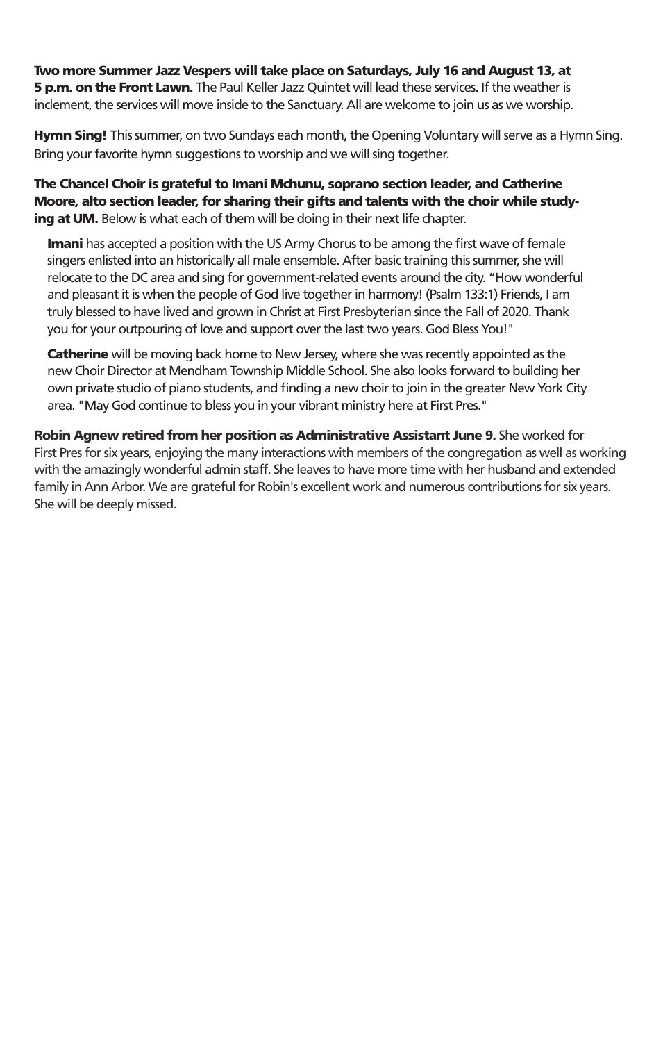Two more Summer Jazz Vespers will take place on Saturdays, July 16 and August 13, at 5 p.m. on the Front Lawn. The Paul Keller Jazz Quintet will lead these services. If the weather is inclement, the services will move inside to the Sanctuary. All are welcome to join us as we worship.

Hymn Sing! This summer, on two Sundays each month, the Opening Voluntary will serve as a Hymn Sing. Bring your favorite hymn suggestions to worship and we will sing together.

The Chancel Choir is grateful to Imani Mchunu, soprano section leader, and Catherine Moore, alto section leader, for sharing their gifts and talents with the choir while studying at UM. Below is what each of them will be doing in their next life chapter.

**Imani** has accepted a position with the US Army Chorus to be among the first wave of female singers enlisted into an historically all male ensemble. After basic training this summer, she will relocate to the DC area and sing for government-related events around the city. "How wonderful and pleasant it is when the people of God live together in harmony! (Psalm 133:1) Friends, I am truly blessed to have lived and grown in Christ at First Presbyterian since the Fall of 2020. Thank you for your outpouring of love and support over the last two years. God Bless You!"

Catherine will be moving back home to New Jersey, where she was recently appointed as the new Choir Director at Mendham Township Middle School. She also looks forward to building her own private studio of piano students, and finding a new choir to join in the greater New York City area. "May God continue to bless you in your vibrant ministry here at First Pres."

Robin Agnew retired from her position as Administrative Assistant June 9. She worked for First Pres for six years, enjoying the many interactions with members of the congregation as well as working with the amazingly wonderful admin staff. She leaves to have more time with her husband and extended family in Ann Arbor. We are grateful for Robin's excellent work and numerous contributions for six years. She will be deeply missed.